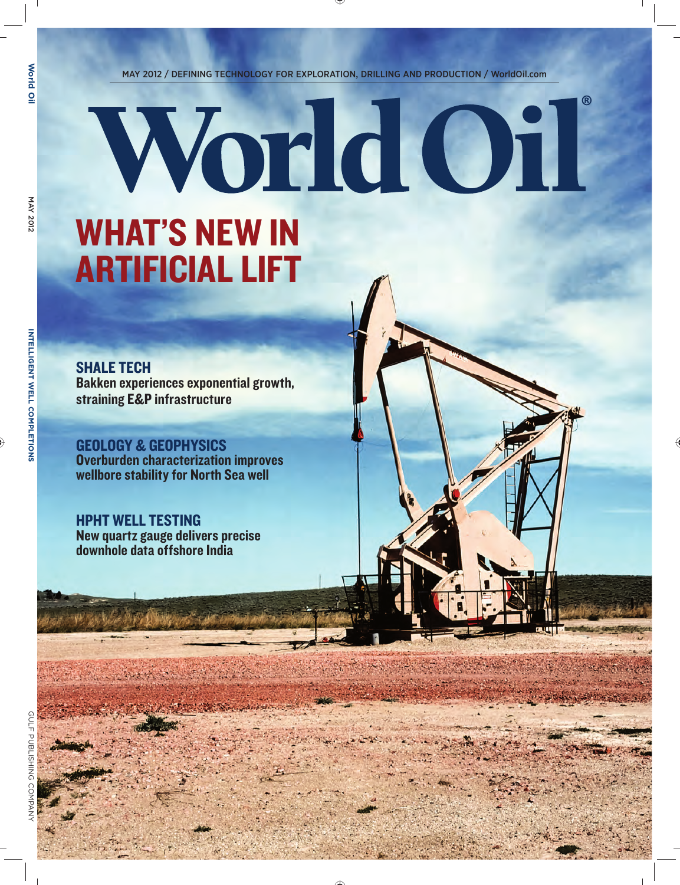MAY 2012 / DEFINING TECHNOLOGY FOR EXPLORATION, DRILLING AND PRODUCTION / WorldOil.com

WorldOil

## WHAT'S NEW IN ARTIFICIAL LIFT

SHALE TECH Bakken experiences exponential growth, straining E&P infrastructure

GEOLOGY & GEOPHYSICS Overburden characterization improves wellbore stability for North Sea well

HPHT WELL TESTING New quartz gauge delivers precise downhole data offshore India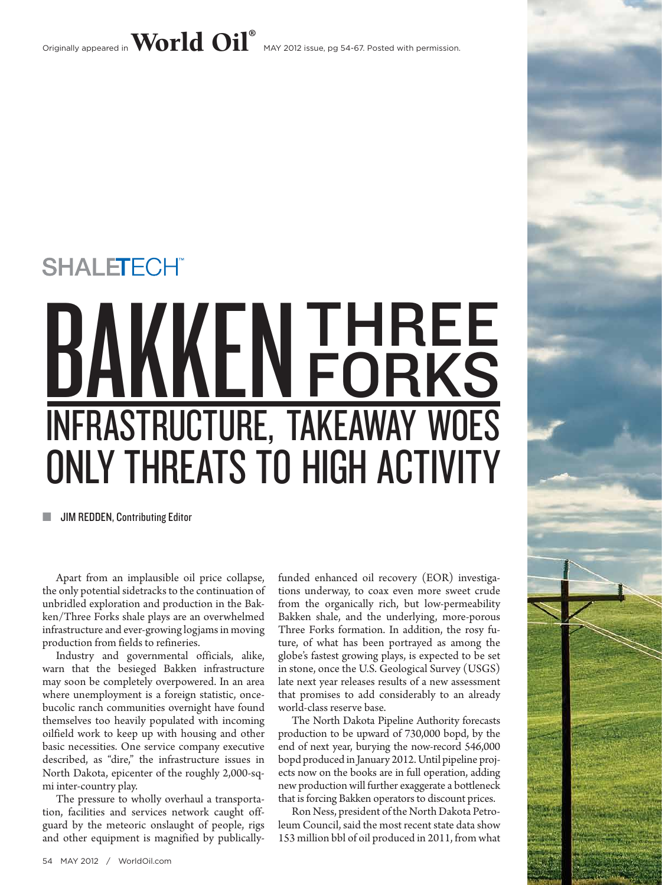Originally appeared in  $\bf{World~Oil}^{\circ}$  MAY 2012 issue, pg 54-67. Posted with permission.

# THREE **FORKS** Infrastructure, takeaway woes ONLY THREATS TO HIGH ACTIVITY SHALETECHT<br>BAKKEN

**SEE JIM REDDEN, Contributing Editor** 

Apart from an implausible oil price collapse, the only potential sidetracks to the continuation of unbridled exploration and production in the Bakken/Three Forks shale plays are an overwhelmed infrastructure and ever-growing logjams in moving production from fields to refineries.

Industry and governmental officials, alike, warn that the besieged Bakken infrastructure may soon be completely overpowered. In an area where unemployment is a foreign statistic, oncebucolic ranch communities overnight have found themselves too heavily populated with incoming oilfield work to keep up with housing and other basic necessities. One service company executive described, as "dire," the infrastructure issues in North Dakota, epicenter of the roughly 2,000-sqmi inter-country play.

The pressure to wholly overhaul a transportation, facilities and services network caught offguard by the meteoric onslaught of people, rigs and other equipment is magnified by publicallyfunded enhanced oil recovery (EOR) investigations underway, to coax even more sweet crude from the organically rich, but low-permeability Bakken shale, and the underlying, more-porous Three Forks formation. In addition, the rosy future, of what has been portrayed as among the globe's fastest growing plays, is expected to be set in stone, once the U.S. Geological Survey (USGS) late next year releases results of a new assessment that promises to add considerably to an already world-class reserve base.

The North Dakota Pipeline Authority forecasts production to be upward of 730,000 bopd, by the end of next year, burying the now-record 546,000 bopd produced in January 2012. Until pipeline projects now on the books are in full operation, adding new production will further exaggerate a bottleneck that is forcing Bakken operators to discount prices.

Ron Ness, president of the North Dakota Petroleum Council, said the most recent state data show 153 million bbl of oil produced in 2011, from what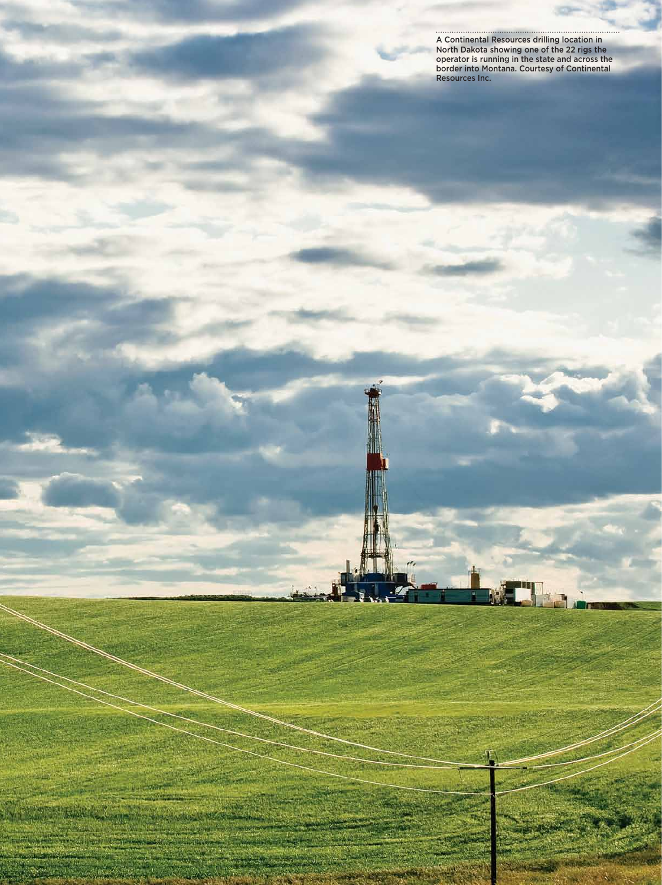A Continental Resources drilling location in North Dakota showing one of the 22 rigs the operator is running in the state and across the border into Montana. Courtesy of Continental Resources Inc.

World Oil / may 2012 55-2012 55-2012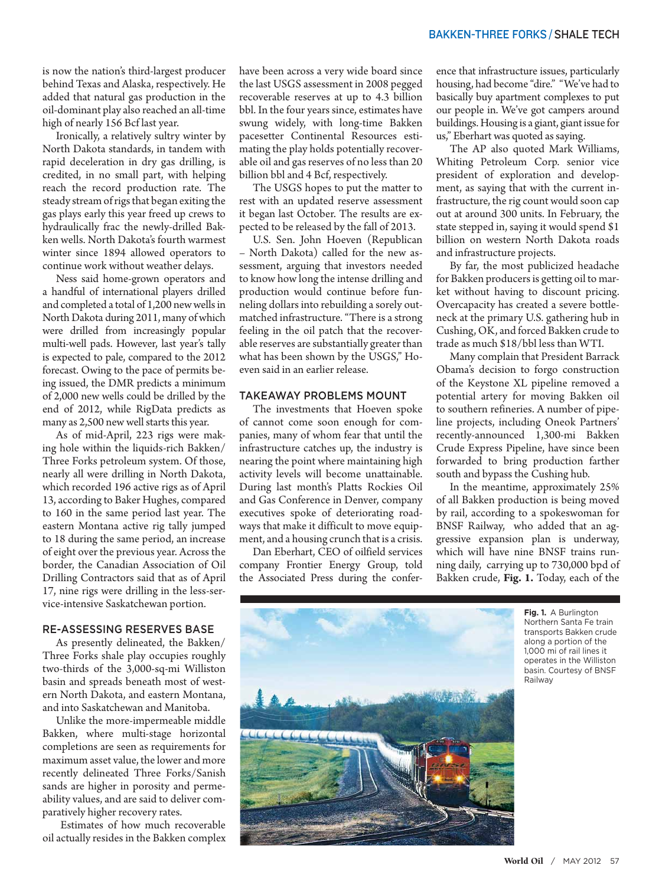is now the nation's third-largest producer behind Texas and Alaska, respectively. He added that natural gas production in the oil-dominant play also reached an all-time high of nearly 156 Bcf last year.

Ironically, a relatively sultry winter by North Dakota standards, in tandem with rapid deceleration in dry gas drilling, is credited, in no small part, with helping reach the record production rate. The steady stream of rigs that began exiting the gas plays early this year freed up crews to hydraulically frac the newly-drilled Bakken wells. North Dakota's fourth warmest winter since 1894 allowed operators to continue work without weather delays.

Ness said home-grown operators and a handful of international players drilled and completed a total of 1,200 new wells in North Dakota during 2011, many of which were drilled from increasingly popular multi-well pads. However, last year's tally is expected to pale, compared to the 2012 forecast. Owing to the pace of permits being issued, the DMR predicts a minimum of 2,000 new wells could be drilled by the end of 2012, while RigData predicts as many as 2,500 new well starts this year.

As of mid-April, 223 rigs were making hole within the liquids-rich Bakken/ Three Forks petroleum system. Of those, nearly all were drilling in North Dakota, which recorded 196 active rigs as of April 13, according to Baker Hughes, compared to 160 in the same period last year. The eastern Montana active rig tally jumped to 18 during the same period, an increase of eight over the previous year. Across the border, the Canadian Association of Oil Drilling Contractors said that as of April 17, nine rigs were drilling in the less-service-intensive Saskatchewan portion.

#### RE-ASSESSING RESERVES BASE

As presently delineated, the Bakken/ Three Forks shale play occupies roughly two-thirds of the 3,000-sq-mi Williston basin and spreads beneath most of western North Dakota, and eastern Montana, and into Saskatchewan and Manitoba.

Unlike the more-impermeable middle Bakken, where multi-stage horizontal completions are seen as requirements for maximum asset value, the lower and more recently delineated Three Forks/Sanish sands are higher in porosity and permeability values, and are said to deliver comparatively higher recovery rates.

 Estimates of how much recoverable oil actually resides in the Bakken complex have been across a very wide board since the last USGS assessment in 2008 pegged recoverable reserves at up to 4.3 billion bbl. In the four years since, estimates have swung widely, with long-time Bakken pacesetter Continental Resources estimating the play holds potentially recoverable oil and gas reserves of no less than 20 billion bbl and 4 Bcf, respectively.

The USGS hopes to put the matter to rest with an updated reserve assessment it began last October. The results are expected to be released by the fall of 2013.

U.S. Sen. John Hoeven (Republican – North Dakota) called for the new assessment, arguing that investors needed to know how long the intense drilling and production would continue before funneling dollars into rebuilding a sorely outmatched infrastructure. "There is a strong feeling in the oil patch that the recoverable reserves are substantially greater than what has been shown by the USGS," Hoeven said in an earlier release.

#### TAKEAWAY PROBLEMS MOUNT

The investments that Hoeven spoke of cannot come soon enough for companies, many of whom fear that until the infrastructure catches up, the industry is nearing the point where maintaining high activity levels will become unattainable. During last month's Platts Rockies Oil and Gas Conference in Denver, company executives spoke of deteriorating roadways that make it difficult to move equipment, and a housing crunch that is a crisis.

Dan Eberhart, CEO of oilfield services company Frontier Energy Group, told the Associated Press during the confer-

ence that infrastructure issues, particularly housing, had become "dire." "We've had to basically buy apartment complexes to put our people in. We've got campers around buildings. Housing is a giant, giant issue for us," Eberhart was quoted as saying.

The AP also quoted Mark Williams, Whiting Petroleum Corp. senior vice president of exploration and development, as saying that with the current infrastructure, the rig count would soon cap out at around 300 units. In February, the state stepped in, saying it would spend \$1 billion on western North Dakota roads and infrastructure projects.

By far, the most publicized headache for Bakken producers is getting oil to market without having to discount pricing. Overcapacity has created a severe bottleneck at the primary U.S. gathering hub in Cushing, OK, and forced Bakken crude to trade as much \$18/bbl less than WTI.

Many complain that President Barrack Obama's decision to forgo construction of the Keystone XL pipeline removed a potential artery for moving Bakken oil to southern refineries. A number of pipeline projects, including Oneok Partners' recently-announced 1,300-mi Bakken Crude Express Pipeline, have since been forwarded to bring production farther south and bypass the Cushing hub.

In the meantime, approximately 25% of all Bakken production is being moved by rail, according to a spokeswoman for BNSF Railway, who added that an aggressive expansion plan is underway, which will have nine BNSF trains running daily, carrying up to 730,000 bpd of Bakken crude, **Fig. 1.** Today, each of the



**Fig. 1.** A Burlington Northern Santa Fe train transports Bakken crude along a portion of the 1,000 mi of rail lines it operates in the Williston basin. Courtesy of BNSF Railway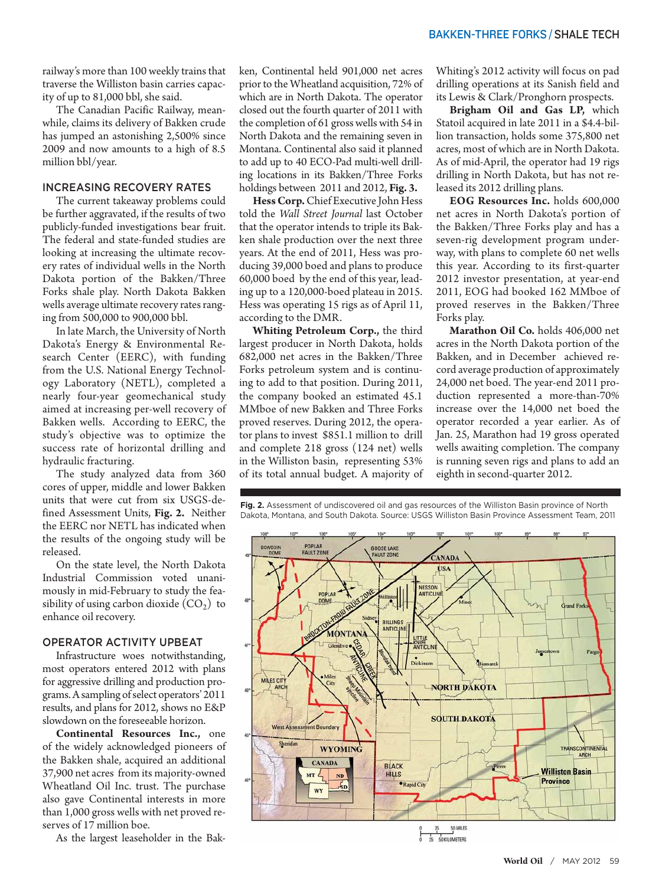railway's more than 100 weekly trains that traverse the Williston basin carries capacity of up to 81,000 bbl, she said.

The Canadian Pacific Railway, meanwhile, claims its delivery of Bakken crude has jumped an astonishing 2,500% since 2009 and now amounts to a high of 8.5 million bbl/year.

### INCREASING RECOVERY RATES

The current takeaway problems could be further aggravated, if the results of two publicly-funded investigations bear fruit. The federal and state-funded studies are looking at increasing the ultimate recovery rates of individual wells in the North Dakota portion of the Bakken/Three Forks shale play. North Dakota Bakken wells average ultimate recovery rates ranging from 500,000 to 900,000 bbl.

In late March, the University of North Dakota's Energy & Environmental Research Center (EERC), with funding from the U.S. National Energy Technology Laboratory (NETL), completed a nearly four-year geomechanical study aimed at increasing per-well recovery of Bakken wells. According to EERC, the study's objective was to optimize the success rate of horizontal drilling and hydraulic fracturing.

The study analyzed data from 360 cores of upper, middle and lower Bakken units that were cut from six USGS-defined Assessment Units, **Fig. 2.** Neither the EERC nor NETL has indicated when the results of the ongoing study will be released.

On the state level, the North Dakota Industrial Commission voted unanimously in mid-February to study the feasibility of using carbon dioxide  $(CO_2)$  to enhance oil recovery.

#### OPERATOR ACTIVITY UPBEAT

Infrastructure woes notwithstanding, most operators entered 2012 with plans for aggressive drilling and production programs. A sampling of select operators' 2011 results, and plans for 2012, shows no E&P slowdown on the foreseeable horizon.

**Continental Resources Inc.,** one of the widely acknowledged pioneers of the Bakken shale, acquired an additional 37,900 net acres from its majority-owned Wheatland Oil Inc. trust. The purchase also gave Continental interests in more than 1,000 gross wells with net proved reserves of 17 million boe.

As the largest leaseholder in the Bak-

ken, Continental held 901,000 net acres prior to the Wheatland acquisition, 72% of which are in North Dakota. The operator closed out the fourth quarter of 2011 with the completion of 61 gross wells with 54 in North Dakota and the remaining seven in Montana. Continental also said it planned to add up to 40 ECO-Pad multi-well drilling locations in its Bakken/Three Forks holdings between 2011 and 2012, **Fig. 3.**

**Hess Corp.** Chief Executive John Hess told the *Wall Street Journal* last October that the operator intends to triple its Bakken shale production over the next three years. At the end of 2011, Hess was producing 39,000 boed and plans to produce 60,000 boed by the end of this year, leading up to a 120,000-boed plateau in 2015. Hess was operating 15 rigs as of April 11, according to the DMR.

**Whiting Petroleum Corp.,** the third largest producer in North Dakota, holds 682,000 net acres in the Bakken/Three Forks petroleum system and is continuing to add to that position. During 2011, the company booked an estimated 45.1 MMboe of new Bakken and Three Forks proved reserves. During 2012, the operator plans to invest \$851.1 million to drill and complete 218 gross (124 net) wells in the Williston basin, representing 53% of its total annual budget. A majority of Whiting's 2012 activity will focus on pad drilling operations at its Sanish field and its Lewis & Clark/Pronghorn prospects.

**Brigham Oil and Gas LP,** which Statoil acquired in late 2011 in a \$4.4-billion transaction, holds some 375,800 net acres, most of which are in North Dakota. As of mid-April, the operator had 19 rigs drilling in North Dakota, but has not released its 2012 drilling plans.

**EOG Resources Inc.** holds 600,000 net acres in North Dakota's portion of the Bakken/Three Forks play and has a seven-rig development program underway, with plans to complete 60 net wells this year. According to its first-quarter 2012 investor presentation, at year-end 2011, EOG had booked 162 MMboe of proved reserves in the Bakken/Three Forks play.

**Marathon Oil Co.** holds 406,000 net acres in the North Dakota portion of the Bakken, and in December achieved record average production of approximately 24,000 net boed. The year-end 2011 production represented a more-than-70% increase over the 14,000 net boed the operator recorded a year earlier. As of Jan. 25, Marathon had 19 gross operated wells awaiting completion. The company is running seven rigs and plans to add an eighth in second-quarter 2012.



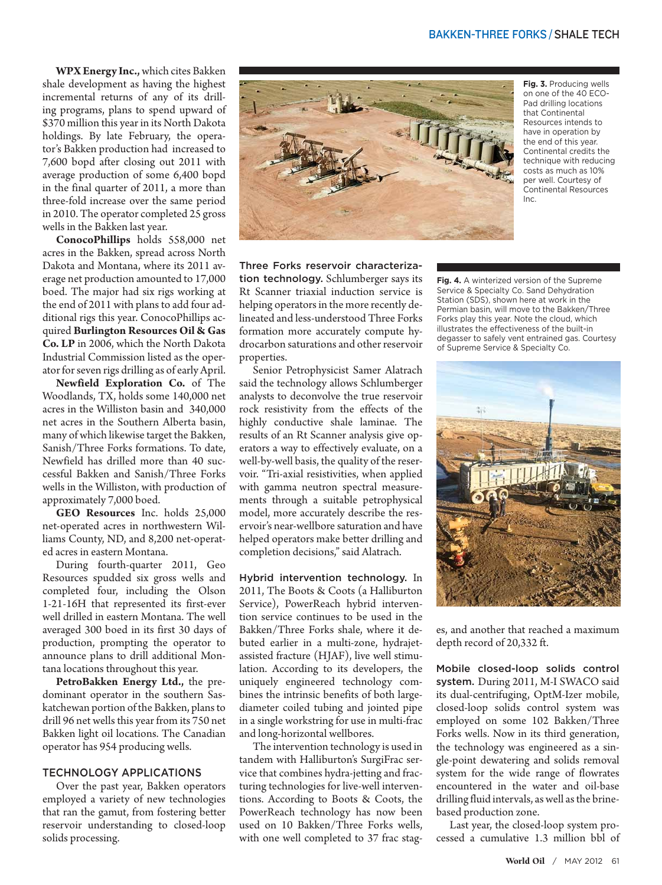**WPX Energy Inc.,** which cites Bakken shale development as having the highest incremental returns of any of its drilling programs, plans to spend upward of \$370 million this year in its North Dakota holdings. By late February, the operator's Bakken production had increased to 7,600 bopd after closing out 2011 with average production of some 6,400 bopd in the final quarter of 2011, a more than three-fold increase over the same period in 2010. The operator completed 25 gross wells in the Bakken last year.

**ConocoPhillips** holds 558,000 net acres in the Bakken, spread across North Dakota and Montana, where its 2011 average net production amounted to 17,000 boed. The major had six rigs working at the end of 2011 with plans to add four additional rigs this year. ConocoPhillips acquired **Burlington Resources Oil & Gas Co. LP** in 2006, which the North Dakota Industrial Commission listed as the operator for seven rigs drilling as of early April.

**Newfield Exploration Co.** of The Woodlands, TX, holds some 140,000 net acres in the Williston basin and 340,000 net acres in the Southern Alberta basin, many of which likewise target the Bakken, Sanish/Three Forks formations. To date, Newfield has drilled more than 40 successful Bakken and Sanish/Three Forks wells in the Williston, with production of approximately 7,000 boed.

**GEO Resources** Inc. holds 25,000 net-operated acres in northwestern Williams County, ND, and 8,200 net-operated acres in eastern Montana.

During fourth-quarter 2011, Geo Resources spudded six gross wells and completed four, including the Olson 1-21-16H that represented its first-ever well drilled in eastern Montana. The well averaged 300 boed in its first 30 days of production, prompting the operator to announce plans to drill additional Montana locations throughout this year.

**PetroBakken Energy Ltd.,** the predominant operator in the southern Saskatchewan portion of the Bakken, plans to drill 96 net wells this year from its 750 net Bakken light oil locations. The Canadian operator has 954 producing wells.

#### technology applications

Over the past year, Bakken operators employed a variety of new technologies that ran the gamut, from fostering better reservoir understanding to closed-loop solids processing.



**Fig. 3.** Producing wells on one of the 40 ECO-Pad drilling locations that Continental Resources intends to have in operation by the end of this year. Continental credits the technique with reducing costs as much as 10% per well. Courtesy of Continental Resources Inc.

Three Forks reservoir characterization technology. Schlumberger says its Rt Scanner triaxial induction service is helping operators in the more recently delineated and less-understood Three Forks formation more accurately compute hydrocarbon saturations and other reservoir properties.

Senior Petrophysicist Samer Alatrach said the technology allows Schlumberger analysts to deconvolve the true reservoir rock resistivity from the effects of the highly conductive shale laminae. The results of an Rt Scanner analysis give operators a way to effectively evaluate, on a well-by-well basis, the quality of the reservoir. "Tri-axial resistivities, when applied with gamma neutron spectral measurements through a suitable petrophysical model, more accurately describe the reservoir's near-wellbore saturation and have helped operators make better drilling and completion decisions," said Alatrach.

Hybrid intervention technology. In 2011, The Boots & Coots (a Halliburton Service), PowerReach hybrid intervention service continues to be used in the Bakken/Three Forks shale, where it debuted earlier in a multi-zone, hydrajetassisted fracture (HJAF), live well stimulation. According to its developers, the uniquely engineered technology combines the intrinsic benefits of both largediameter coiled tubing and jointed pipe in a single workstring for use in multi-frac and long-horizontal wellbores.

The intervention technology is used in tandem with Halliburton's SurgiFrac service that combines hydra-jetting and fracturing technologies for live-well interventions. According to Boots & Coots, the PowerReach technology has now been used on 10 Bakken/Three Forks wells, with one well completed to 37 frac stag**Fig. 4.** A winterized version of the Supreme Service & Specialty Co. Sand Dehydration Station (SDS), shown here at work in the Permian basin, will move to the Bakken/Three Forks play this year. Note the cloud, which illustrates the effectiveness of the built-in degasser to safely vent entrained gas. Courtesy of Supreme Service & Specialty Co.



es, and another that reached a maximum depth record of 20,332 ft.

Mobile closed-loop solids control system. During 2011, M-I SWACO said its dual-centrifuging, OptM-Izer mobile, closed-loop solids control system was employed on some 102 Bakken/Three Forks wells. Now in its third generation, the technology was engineered as a single-point dewatering and solids removal system for the wide range of flowrates encountered in the water and oil-base drilling fluid intervals, as well as the brinebased production zone.

Last year, the closed-loop system processed a cumulative 1.3 million bbl of